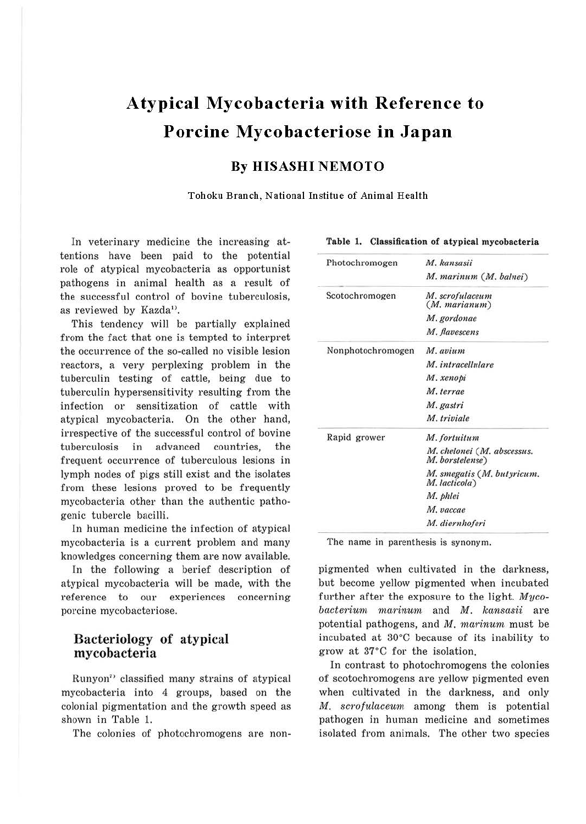# **Atypical Mycobacteria with Reference to Porcine Mycobacteriose in Japan**

### **By HISASHI NEMOTO**

Tohoku Branch, National Institue of Animal Health

In veterinary medicine the increasing attentions have been paid to the potential role of atypical mycobacteria as opportunist pathogens in animal health as a result of the successful control of bovine tuberculosis, as reviewed by Kazda<sup>1</sup>.

This tendency will be partially explained from the fact that one is tempted to interpret the occurrence of the so-called no visible lesion reactors, a very perplexing problem in the tuberculin testing of cattle, being due to tuberculin hypersensitivity resulting from the infection or sensitization of cattle with atypical mycobacteria. On the other hand, irrespective of the successful control of bovine tuberculosis in advanced countries, the frequent occurrence of tuberculous lesions in lymph nodes of pigs still exist and the isolates from these lesions proved to be frequently mycobacteria other than the authentic pathogenic tubercle bacilli.

In human medicine the infection of atypical mycobacteria is a current problem and many knowledges concerning them are now available.

In the following a berief description of atypical mycobacteria will be made, with the reference to our experiences concerning porcine mycobacteriose.

### Bacteriology of atypical mycobacteria

Runyon<sup>7</sup> classified many strains of atypical mycobacteria into 4 groups, based on the colonial pigmentation and the growth speed as shown in Table 1.

The colonies of photochromogens are non-

| Photochromogen    | M. kansasii                                   |  |  |
|-------------------|-----------------------------------------------|--|--|
|                   | M. marinum (M. balnei)                        |  |  |
| Scotochromogen    | M. scrofulaceum<br>(M. marianum)              |  |  |
|                   | M. gordonae                                   |  |  |
|                   | M. flavescens                                 |  |  |
| Nonphotochromogen | M. avium                                      |  |  |
|                   | M. intracellulare                             |  |  |
|                   | M. xenopi                                     |  |  |
|                   | M. terrae                                     |  |  |
|                   | M. gastri                                     |  |  |
|                   | M. triviale                                   |  |  |
| Rapid grower      | M. fortuitum                                  |  |  |
|                   | M. chelonei (M. abscessus.<br>M. borstelense) |  |  |
|                   | M. smegatis (M. but yricum.<br>M. lacticola)  |  |  |
|                   | M. phlei                                      |  |  |
|                   | M. vaccae                                     |  |  |
|                   | M. diernhoferi                                |  |  |

**Table 1. Classification of atypical mycobacteria** 

The name in parenthesis is synonym.

pigmented when cultivated in the darkness, but become yellow pigmented when incubated further after the exposure to the light.  $Myco$  $bacterium$  marinum and  $M$ .  $kansasii$  are potential pathogens, and M. marinum must be incubated at 30°C because of its inability to grow at 37°C for the isolation.

In contrast to photochromogens the colonies of scotochromogens are yellow pigmented even when cultivated in the darkness, and only M. scrofulaceum among them is potential pathogen in human medicine and sometimes isolated from animals. The other two species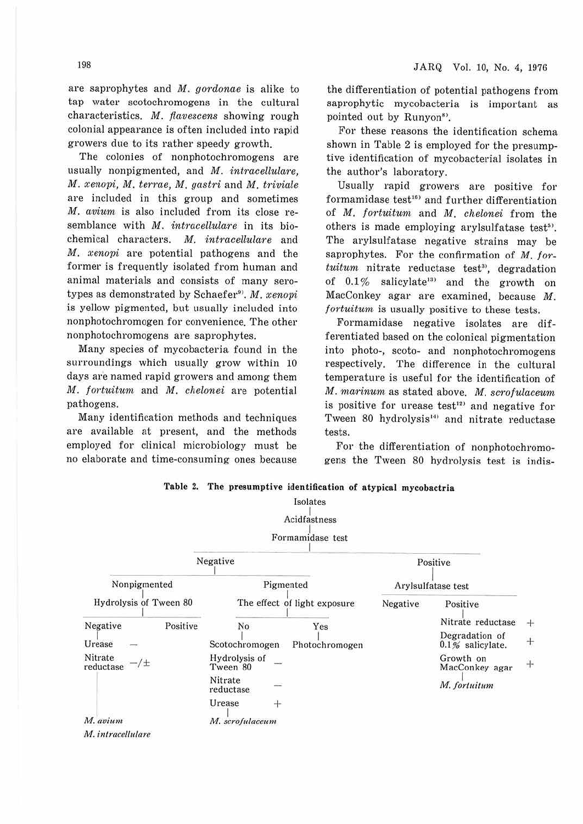are saprophytes and M. gordonae is alike to tap water scotochromogens in the cultural characteristics. M. flavescens showing rough colonial appearance is often included into rapid growers due to its rather speedy growth.

The colonies of nonphotochromogens are usually nonpigmented, and *M. intracellulare*, M. xenopi, M. terrae, M. gastri and M. triviale are included in this group and sometimes M. avium is also included from its close resemblance with M. intracellulare in its biochemical characters. M. intracellulare and  $M.$  xenopi are potential pathogens and the former is frequently isolated from human and animal materials and consists of many serotypes as demonstrated by Schaefer<sup>9</sup>. M.  $xenoni$ is yellow pigmented, but usually included into nonphotochromogen for convenience. The other nonphotochromogens are saprophytes.

Many species of mycobacteria found in the surroundings which usually grow within 10 days are named rapid growers and among them M. fortuitum and M. chelonei are potential pathogens.

Many identification methods and techniques are available at present, and the methods employed for clinical microbiology must be no elaborate and time-consuming ones because the differentiation of potential pathogens from saprophytic mycobacteria is important as pointed out by Runyon<sup>8)</sup>.

For these reasons the identification schema shown in Table 2 is employed for the presumptive identification of mycobacterial isolates in the author's laboratory.

Usually rapid growers are positive for formamidase test<sup>16)</sup> and further differentiation of M. fortuitum and M. chelonei from the others is made employing arylsulfatase test<sup>5)</sup>. The arylsulfatase negative strains may be saprophytes. For the confirmation of M. for $tuitum$  nitrate reductase test<sup>3</sup>, degradation of  $0.1\%$  salicylate<sup>13</sup> and the growth on MacConkey agar are examined, because M. fortuitum is usually positive to these tests.

Formamidase negative isolates are differentiated based on the colonical pigmentation into photo-, scoto- and nonphotochromogens respectively. The difference in the cultural temperature is useful for the identification of M. marinum as stated above. M. scrofulaceum is positive for urease test<sup>12)</sup> and negative for Tween 80 hydrolysis<sup>14)</sup> and nitrate reductase tests.

For the differentiation of nonphotochromogens the Tween 80 hydrolysis test is indis-

|                            | Isolates                     |                |          |                                      |        |
|----------------------------|------------------------------|----------------|----------|--------------------------------------|--------|
|                            | Acidfastness                 |                |          |                                      |        |
|                            | Formamidase test             |                |          |                                      |        |
|                            | Negative                     |                |          | Positive                             |        |
| Nonpigmented               | Pigmented                    |                |          | Arylsulfatase test                   |        |
| Hydrolysis of Tween 80     | The effect of light exposure |                | Negative | Positive                             |        |
| Positive<br>Negative       | No                           | Yes            |          | Nitrate reductase                    | $+$    |
| Urease                     | Scotochromogen               | Photochromogen |          | Degradation of<br>$0.1%$ salicylate. | $^{+}$ |
| Nitrate<br>/±<br>reductase | Hydrolysis of<br>Tween 80    |                |          | Growth on<br>MacConkey agar          | $+$    |
|                            | Nitrate<br>reductase         |                |          | M. fortuitum                         |        |
|                            | Urease<br>$+$                |                |          |                                      |        |
| M. avium                   | M. scrofulaceum              |                |          |                                      |        |
| M. intracellulare          |                              |                |          |                                      |        |

**Table 2. The presumptive identification of atypical mycobactria**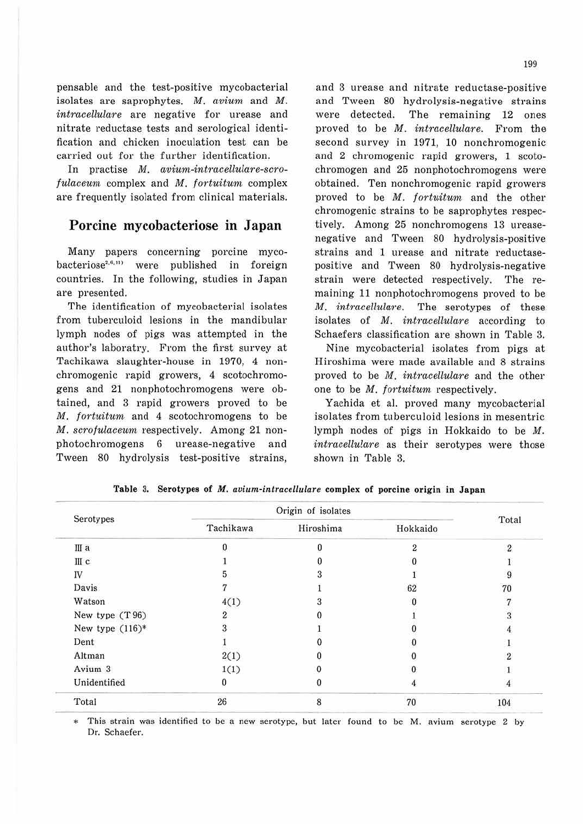pensable and the test-positive mycobacterial isolates are saprophytes. M. avium and M. intracellulare are negative for urease and nitrate reductase tests and serological identification and chicken inoculation test can be canied out for the further identification.

In practise  $M.$  avium-intracellulare-scro $fulacuum$  complex and  $M$ . fortuitum complex are frequently isolated from clinical materials.

## **Porcine mycobacteriose in Japan**

Many papers concerning porcine myco $b$ acteriose<sup>2,4,11</sup>) were published in foreign countries. In the following, studies in Japan are presented.

The identification of mycobacterial isolates from tuberculoid lesions in the mandibular lymph nodes of pigs was attempted in the author's laboratry. From the first survey at Tachikawa slaughter-house in 1970, 4 nonchromogenic rapid growers, 4 scotochromogens and 21 nonphotochromogens were obtained, and 3 rapid growers proved to be  $M.$  fortuitum and 4 scotochromogens to be M. scrofulaceum respectively. Among 21 nonphotochromogens 6 urease-negative and Tween 80 hydrolysis test-positive strains,

and 3 urease and nitrate reductase-positive and Tween 80 hydrolysis-negative strains were detected. The remaining 12 ones proved to be M. intracellulare. From the second survey in 1971, 10 nonchromogenic and 2 chromogenic rapid growers, 1 scotochromogen and 25 nonphotochromogens were obtained. Ten nonchromogenic rapid growers proved to be M. fortuitum and the other chromogenic strains to be saprophytes respectively. Among 25 nonchromogens 13 ureasenegative and Tween 80 hydrolysis-positive strains and 1 urease and nitrate reductasepositive and Tween 80 hydrolysis-negative strain were detected respectively. The remaining 11 nonphotochromogens proved to be M. intracellulare. The serotypes of these isolates of M. intracellulare according to Schaefers classification are shown in Table 3.

Nine mycobacterial isolates from pigs at Hiroshima were made available and 8 strains proved to be M. intracellulare and the other one to be M. fortuitum respectively.

Yachida et al. proved many mycobacterial isolates from tuberculoid lesions in mesentric lymph nodes of pigs in Hokkaido to be M. intracellulare as their serotypes were those shown in Table 3.

| Serotypes         | Origin of isolates |           |          |                |
|-------------------|--------------------|-----------|----------|----------------|
|                   | Tachikawa          | Hiroshima | Hokkaido | Total          |
| Шa                | 0                  | 0         | 2        | $\mathfrak{D}$ |
| Шс                |                    |           |          |                |
| IV                |                    |           |          |                |
| Davis             |                    |           | 62       | 70             |
| Watson            | 4(1)               |           |          |                |
| New type (T96)    |                    |           |          |                |
| New type $(116)*$ |                    |           |          |                |
| Dent              |                    |           |          |                |
| Altman            | 2(1)               |           | 0        |                |
| Avium 3           | 1(1)               |           |          |                |
| Unidentified      | 0                  |           |          |                |
| Total             | 26                 | 8         | 70       | 104            |

**Table** 3. **Serotypes of** *M. avium-intracellulare* **complex of porcine origin in Japan** 

\* This strain was identified to be a new serotype, but later found to be M. avium serotype 2 by Dr. Schaefer.